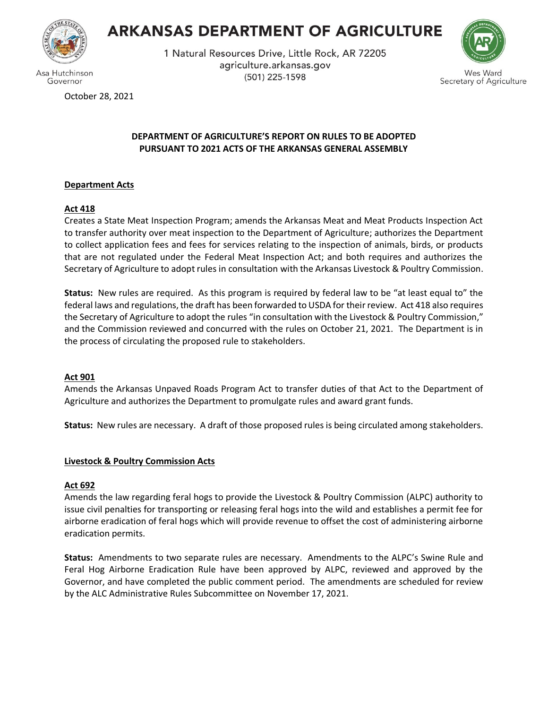

Governor

# **ARKANSAS DEPARTMENT OF AGRICULTURE**

1 Natural Resources Drive, Little Rock, AR 72205 agriculture.arkansas.gov (501) 225-1598



October 28, 2021

# **DEPARTMENT OF AGRICULTURE'S REPORT ON RULES TO BE ADOPTED PURSUANT TO 2021 ACTS OF THE ARKANSAS GENERAL ASSEMBLY**

# **Department Acts**

# **Act 418**

Creates a State Meat Inspection Program; amends the Arkansas Meat and Meat Products Inspection Act to transfer authority over meat inspection to the Department of Agriculture; authorizes the Department to collect application fees and fees for services relating to the inspection of animals, birds, or products that are not regulated under the Federal Meat Inspection Act; and both requires and authorizes the Secretary of Agriculture to adopt rules in consultation with the Arkansas Livestock & Poultry Commission.

**Status:** New rules are required. As this program is required by federal law to be "at least equal to" the federal laws and regulations, the draft has been forwarded to USDA for their review. Act 418 also requires the Secretary of Agriculture to adopt the rules "in consultation with the Livestock & Poultry Commission," and the Commission reviewed and concurred with the rules on October 21, 2021. The Department is in the process of circulating the proposed rule to stakeholders.

## **Act 901**

Amends the Arkansas Unpaved Roads Program Act to transfer duties of that Act to the Department of Agriculture and authorizes the Department to promulgate rules and award grant funds.

**Status:** New rules are necessary. A draft of those proposed rules is being circulated among stakeholders.

## **Livestock & Poultry Commission Acts**

## **Act 692**

Amends the law regarding feral hogs to provide the Livestock & Poultry Commission (ALPC) authority to issue civil penalties for transporting or releasing feral hogs into the wild and establishes a permit fee for airborne eradication of feral hogs which will provide revenue to offset the cost of administering airborne eradication permits.

**Status:** Amendments to two separate rules are necessary. Amendments to the ALPC's Swine Rule and Feral Hog Airborne Eradication Rule have been approved by ALPC, reviewed and approved by the Governor, and have completed the public comment period. The amendments are scheduled for review by the ALC Administrative Rules Subcommittee on November 17, 2021.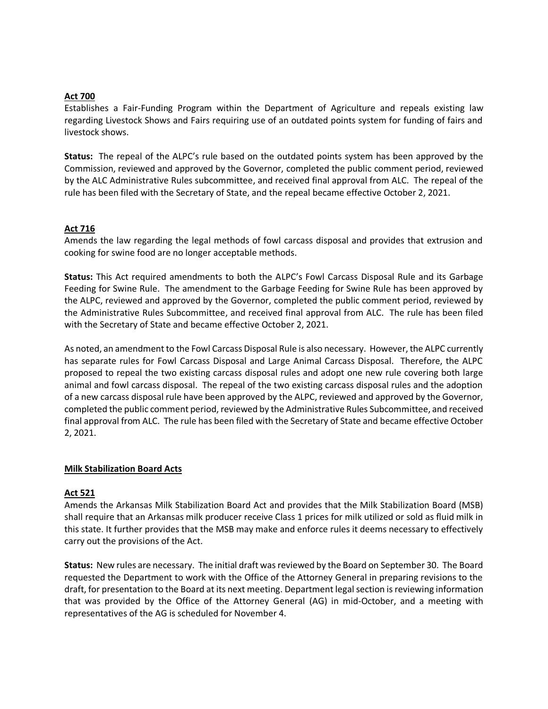#### **Act 700**

Establishes a Fair-Funding Program within the Department of Agriculture and repeals existing law regarding Livestock Shows and Fairs requiring use of an outdated points system for funding of fairs and livestock shows.

**Status:** The repeal of the ALPC's rule based on the outdated points system has been approved by the Commission, reviewed and approved by the Governor, completed the public comment period, reviewed by the ALC Administrative Rules subcommittee, and received final approval from ALC. The repeal of the rule has been filed with the Secretary of State, and the repeal became effective October 2, 2021.

#### **Act 716**

Amends the law regarding the legal methods of fowl carcass disposal and provides that extrusion and cooking for swine food are no longer acceptable methods.

**Status:** This Act required amendments to both the ALPC's Fowl Carcass Disposal Rule and its Garbage Feeding for Swine Rule. The amendment to the Garbage Feeding for Swine Rule has been approved by the ALPC, reviewed and approved by the Governor, completed the public comment period, reviewed by the Administrative Rules Subcommittee, and received final approval from ALC. The rule has been filed with the Secretary of State and became effective October 2, 2021.

As noted, an amendment to the Fowl Carcass Disposal Rule is also necessary. However, the ALPC currently has separate rules for Fowl Carcass Disposal and Large Animal Carcass Disposal. Therefore, the ALPC proposed to repeal the two existing carcass disposal rules and adopt one new rule covering both large animal and fowl carcass disposal. The repeal of the two existing carcass disposal rules and the adoption of a new carcass disposal rule have been approved by the ALPC, reviewed and approved by the Governor, completed the public comment period, reviewed by the Administrative Rules Subcommittee, and received final approval from ALC. The rule has been filed with the Secretary of State and became effective October 2, 2021.

#### **Milk Stabilization Board Acts**

## **Act 521**

Amends the Arkansas Milk Stabilization Board Act and provides that the Milk Stabilization Board (MSB) shall require that an Arkansas milk producer receive Class 1 prices for milk utilized or sold as fluid milk in this state. It further provides that the MSB may make and enforce rules it deems necessary to effectively carry out the provisions of the Act.

**Status:** New rules are necessary. The initial draft wasreviewed by the Board on September 30. The Board requested the Department to work with the Office of the Attorney General in preparing revisions to the draft, for presentation to the Board at its next meeting. Department legal section is reviewing information that was provided by the Office of the Attorney General (AG) in mid-October, and a meeting with representatives of the AG is scheduled for November 4.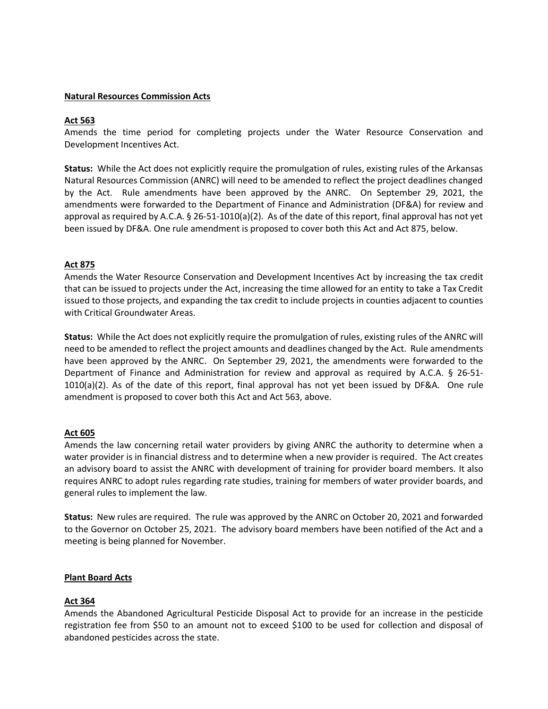#### **Natural Resources Commission Acts**

#### **Act 563**

Amends the time period for completing projects under the Water Resource Conservation and Development Incentives Act.

**Status:** While the Act does not explicitly require the promulgation of rules, existing rules of the Arkansas Natural Resources Commission (ANRC) will need to be amended to reflect the project deadlines changed by the Act. Rule amendments have been approved by the ANRC. On September 29, 2021, the amendments were forwarded to the Department of Finance and Administration (DF&A) for review and approval as required by A.C.A. § 26-51-1010(a)(2). As of the date of this report, final approval has not yet been issued by DF&A. One rule amendment is proposed to cover both this Act and Act 875, below.

## **Act 875**

Amends the Water Resource Conservation and Development Incentives Act by increasing the tax credit that can be issued to projects under the Act, increasing the time allowed for an entity to take a Tax Credit issued to those projects, and expanding the tax credit to include projects in counties adjacent to counties with Critical Groundwater Areas.

**Status:** While the Act does not explicitly require the promulgation of rules, existing rules of the ANRC will need to be amended to reflect the project amounts and deadlines changed by the Act. Rule amendments have been approved by the ANRC. On September 29, 2021, the amendments were forwarded to the Department of Finance and Administration for review and approval as required by A.C.A. § 26-51- 1010(a)(2). As of the date of this report, final approval has not yet been issued by DF&A. One rule amendment is proposed to cover both this Act and Act 563, above.

## **Act 605**

Amends the law concerning retail water providers by giving ANRC the authority to determine when a water provider is in financial distress and to determine when a new provider is required. The Act creates an advisory board to assist the ANRC with development of training for provider board members. It also requires ANRC to adopt rules regarding rate studies, training for members of water provider boards, and general rules to implement the law.

**Status:** New rules are required. The rule was approved by the ANRC on October 20, 2021 and forwarded to the Governor on October 25, 2021. The advisory board members have been notified of the Act and a meeting is being planned for November.

## **Plant Board Acts**

## **Act 364**

Amends the Abandoned Agricultural Pesticide Disposal Act to provide for an increase in the pesticide registration fee from \$50 to an amount not to exceed \$100 to be used for collection and disposal of abandoned pesticides across the state.